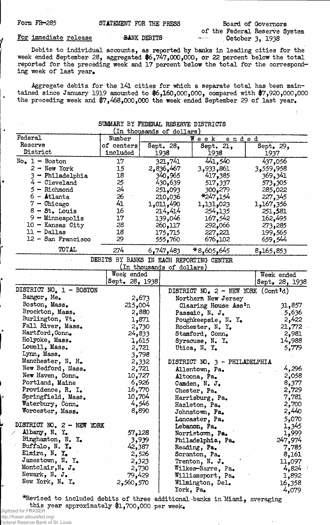## of the Federal Reserve System . October 3, 1938

For immediate release BANK DEBITS

Debits to individual accounts, as reported by banks in leading cities for the week ended September 28, aggregated \$6,747,000,000, or 22 percent below the total reported for the preceding week and 17 percent below the total for the corresponding week of last year.

Aggregate debits for the  $141$  cities for which a separate total has been maintained since January 1919 amounted to \$6,160,000,000, compared with \$7,920,000,000 the preceding week and  $\frac{27,468,000,000}{500}$  the week ended September 29 of last year.

| SUMMARY BY FEDERAL RESERVE DISTRICTS |                |                 |                           |                                                          |                     |
|--------------------------------------|----------------|-----------------|---------------------------|----------------------------------------------------------|---------------------|
| (In thousands of dollars)            |                |                 |                           |                                                          |                     |
| Federal                              | Number         |                 |                           | Week<br>ended                                            |                     |
| Reserve                              | of centers     |                 | Sept. 28,                 | Sept. 21,                                                | Sept. $29$ ,        |
| District                             | included       |                 | 1938                      | 1938                                                     | 1937                |
| $No_{\bullet}$ 1 - Boston            | 17             |                 | 321,741                   | 441,540                                                  | 437,056             |
| $2 - New York$                       | 15             |                 | 2,836,467                 | 3,933,861                                                | 3,559,958           |
| $3 - Philadelphia$                   | 18             |                 | 340,965                   | 417,385                                                  | 369,341             |
| $4$ - $C$ leveland                   | 25             |                 | 430,639                   | 517,337                                                  | 573,305             |
| $5 -$ Richmond                       | 24             |                 | 251,093                   | 300,279                                                  | 285,022             |
| $6 -$ Atlanta                        | 26             |                 | 210,036                   | $*247,154$                                               | 227,345             |
| $7 -$ Chicago                        |                | 41<br>1,011,490 |                           | 1,131,023                                                | 356, 167, 1         |
| $8 - St.$ Louis                      | 16             |                 | 214,414                   | 254,135                                                  | 251,581             |
| $9 -$ Minneapolis                    | 17             |                 | 139,046                   | 167,542                                                  | 162,495             |
| $10 -$ Kansas City                   | 28             |                 | 260,117                   | 292,066                                                  | 273,285             |
| $11 - Dallas$                        | 18             |                 | 175,715                   | 227,221                                                  | 199 <b>,</b> 565    |
| 12 - San Francisco                   | 29             |                 | 555,760                   | 676,102                                                  | 659,544             |
| TOTAL                                | 274            |                 | 6,747,483                 | $*8,605,645$                                             | 853, 165 <b>.</b> 8 |
|                                      |                |                 |                           | DEBITS BY BANKS IN EACH REPORTING CENTER                 |                     |
|                                      |                |                 | (In thousands of dollars) |                                                          |                     |
|                                      | Week ended     |                 |                           |                                                          | Week ended          |
|                                      | Sept. 28, 1938 |                 |                           |                                                          | Sept. 28, 1938      |
| DISTRICT NO. 1 - BOSTON              |                |                 |                           | DISTRICT NO. $2 - \text{NEW}$ YORK (Cont <sup>1</sup> d) |                     |
| Bangor, Me.                          |                | 2,673           |                           | Northern New Jersey                                      |                     |
| Boston, Mass.                        | 215,004        |                 |                           | Clearing House Ass'n                                     | 31,857              |
| Brockton, Mass.                      |                | 2,880           | Passaic, N. J.            |                                                          | $-5,636$            |
| Burlington, Vt.                      | 1,871          |                 | Poughkeepsie, N. Y.       |                                                          | 2,422               |
| Fall River, Mass.                    | 2,730          |                 | Rochester, $N_r$ . $Y_r$  |                                                          | 21,772              |
| Hartford, Conn.                      | 24,833         |                 | Stamford, Conn.           |                                                          | 2,981               |
| Holyoke, Mass.                       | 1,615          |                 | Syracuse, N. Y.           |                                                          | 14,988              |
| Lowell, Mass.                        | 2,721          |                 |                           | Utica, N. Y.                                             | 5,779               |
| Lynn, Mass.                          | 3,798          |                 |                           |                                                          |                     |
| Manchester, N. H.                    |                | 2,332           |                           | DISTRICT NO. 3 - PHILADELPHIA                            |                     |
| New Bedford, Mass.                   | 2,721          |                 |                           | Allentown, Pa.                                           | 4,296               |
| New Haven, Conn.                     | 10,727         |                 |                           | Altoona, Pa.                                             | 2,058               |
| Portland, Maine                      | 6,926          |                 |                           | Camden, N. J.                                            | 8,377               |
| Providence, R. I.                    | 16,770         |                 |                           | Chester, Pa.                                             | 2,729               |
| Springfield, Mass.                   |                | 10,704          |                           | Harrisburg, Pa.                                          | 7,781               |
| Waterbury, Conn.                     | 4,546          |                 |                           | Hazleton, Pa.                                            | 2,700               |
| Worcester, Mass.                     | 8,890          |                 |                           | Johnstown, Pa.                                           | 2,440               |
|                                      |                |                 |                           | Lancaster, Pa.                                           | 5,070               |
| DISTRICT NO. 2 - NEW YORK            |                |                 |                           | Lebanon, Pa.                                             | 1,345               |
| Albany, N. Y.                        | 57,128         |                 |                           | Norristown, Pa.                                          | 1,999               |
| Binghamton, N. Y.                    | 3,939          |                 |                           | Philadelphia, Pa.                                        | 247,974             |
| Buffalo, N. $Y_{\bullet}$            | 42,387         |                 |                           | Reading, Pa.                                             | 7,785               |
| Elmira, N. Y.                        | 2,526          |                 |                           | Scranton, Pa.                                            | 8,161               |
| Jamestown, N. Y.                     | 2,323          |                 |                           | Trenton, N. J.                                           | 11,097              |
| Montclair, N. J.                     | 2,730          |                 |                           | Wilkes-Barre, Pa.                                        | 4,824               |
| Newark, $N$ . J.                     | 79,429         |                 |                           | Williamsport, Pa.                                        | 1,892               |
| New York, N. Y.                      | 2,560,570      |                 |                           | Wilmington, Del.                                         | 16,358              |
|                                      |                |                 | York, Pa.                 |                                                          | 4,079               |

\*Revised to included debits of three additional -banks. in "Miami, averaging this year approximately \$1,700,000 per week.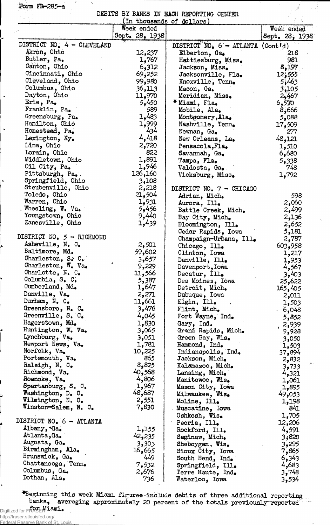Form FR-285-a

Á

DEBITS BY BANKS IN EACH REPORTING CENTER

 $\label{eq:3.1} \frac{1}{2} \sum_{i=1}^n \frac{1}{2} \sum_{j=1}^n \frac{1}{2} \sum_{j=1}^n \frac{1}{2} \sum_{j=1}^n \frac{1}{2} \sum_{j=1}^n \frac{1}{2} \sum_{j=1}^n \frac{1}{2} \sum_{j=1}^n \frac{1}{2} \sum_{j=1}^n \frac{1}{2} \sum_{j=1}^n \frac{1}{2} \sum_{j=1}^n \frac{1}{2} \sum_{j=1}^n \frac{1}{2} \sum_{j=1}^n \frac{1}{2} \sum_{j=1}^n \frac{$ 

|                                          |                | (In thousands of dollars)                                   |                |
|------------------------------------------|----------------|-------------------------------------------------------------|----------------|
|                                          | Week ended     |                                                             | Week ended     |
|                                          | Sept. 28, 1938 |                                                             | Sept. 28, 1938 |
| DISTRICT NO <sub>2</sub> $4$ - CLEVELAND |                | DISTRICT NO. $6 - \text{ATLANTA} (\text{Cont }^{\dagger}d)$ |                |
| Akron, Ohio                              | 12,237         | Elberton, Ga.                                               | 218            |
| Butler, Pa.                              | 1,767          | Hattiesburg, Miss.                                          | 981            |
| Canton, Ohio                             | 6,312          | Jackson, Miss.                                              | 8,197          |
| Cincinnati, Ohio                         | 69,252         | Jacksonville, Fla.                                          | 12,555         |
| Cleveland, Ohio                          | 99,980         | Knoxville, Tenn.                                            | 5,463          |
| Columbus, Ohio                           | 36,113         | Macon, Ga.                                                  | 3,105          |
| Dayton, Ohio                             | 11,970         | Meridian, Miss.                                             | 2,467          |
| Erie, Pa.                                | 5,450          | * Miami, Fla.                                               | 6,570          |
| Franklin, Pa.                            | 589            | Mobile, Ala.                                                | 8,666          |
| Greensburg, Pa.                          | 1,483          | Montgomery, Ala.                                            | 5,088          |
| Hamilton, Ohio                           | 1,999          | Nashville, Tenn.                                            | 17,509         |
| Homestead, Pa.                           | 434            | Newnan, Ga.                                                 | 277            |
| Lexington, Ky.                           | 4,418          | New Orleans, La.                                            | 48,121         |
| Lima, Ohio                               | 2,720          | Pensacola, Fla.                                             | 1,510          |
| Lorain, Ohio                             | 822            | Savannah, Ga.                                               | 6,680          |
| Middletown, Ohio                         | 1,891          | Tampa, Fla.                                                 | 5,338          |
| Oil City, Pa.                            | 1,946          | Valdosta, Ga.                                               | 748            |
| Pittsburgh, Pa.                          | 126,160        | Vicksburg, Miss.                                            | 1,792          |
| Springfield, Ohio                        | 3,108          |                                                             |                |
| Steubenville, Ohio                       | 2,218          | DISTRICT NO. 7 - CHICAGO                                    |                |
| Toledo, Ohio                             | 21,504         | Adrian, Mich.                                               | 598            |
| Warren, Ohio                             | 1,931          | Aurora, Ill.                                                | 2,060          |
| . Wheeling, W. Va.                       | 5,456          | Battle Creek, Mich.                                         | 2,499          |
| Youngstown, Ohio                         | 9,440          | Bay City, Mich.                                             | 2,136          |
| Zanesville, Ohio                         | 1,439          | Bloomington, Ill.                                           | 2,652          |
|                                          |                | Cedar Rapids, Iowa                                          | 5,181          |
| DISTRICT NO. $5 - RICHMOND$              |                | Champaign-Urbana, Ill.                                      | 2,787          |
| Asheville, N. C.                         | 2,501          | Chicago, Ill.                                               | 603,958        |
| Baltimore, Md.                           | 59,602         | Clinton, Iowa                                               | 1,217          |
| Charleston, S. C.                        | 3,657          | Danville, Ill.                                              | 1,953          |
| Charleston, W. Va.                       | 9,229          | Davenport, Iowa                                             | 4,567          |
| Charlotte, N. C.                         | 566,11         | Decatur, Ill.                                               | 3,403          |
| Columbia, S. C.                          | 5,387          | Des Moines, Iowa                                            | 25,622         |
| Cumberland, Md.                          | 1,647          | Detroit, Mich.                                              | 165,405        |
| Danville, Va.                            | 2,271          | Dubuque, Iowa                                               | 2,011          |
| Durham, N. C.                            | 11,661         | Elgin, Ill.                                                 | 1,503          |
| Greensboro, N. C.                        | 3,476          | Flint, Mich.                                                | $-6,048$       |
| Greenville, S. C.                        | 4,045          | Fort Wayne, Ind.                                            | 5,852          |
| Hagerstown, Md.                          | 1,830          | Gary, Ind.                                                  | 2,939          |
| Huntington, W. Va.                       | 3,065          | Grand Rapids, Mich.                                         | 9,928          |
| Lynchburg, Va.                           | 3,051          | Green Bay, Wis.                                             | 3,050          |
| Newport News, Va.                        | 1,781          | Hammond, Ind.                                               | 1,503          |
| Norfolk, Va.                             | 10,225         | Indianapolis, Ind.                                          | 37,894         |
| Portsmouth, Va.                          | 865            | Jackson, Mich.                                              | 2,832          |
| Raleigh, N. C.                           | 8,825          | Kalamazoo, Mich.                                            | 3,733          |
| Richmond, Va.                            | 40,568         | Lansing, Mich.                                              | 4,321          |
| Roanoke, Va.                             | 4,806          | Manitowoc, Wis.                                             | 1,061          |
| Spartanburg, S. C.                       | 1,967          | Mason City, Iowa                                            | 1,895          |
| Washington, D. C.                        | 48,687         | Milwaukee, Wis.                                             | 49,053         |
| Wilmington, N. C.                        | 2,551          | Moline, Ill.                                                | 1,198          |
| Winston-Salem, N. C.                     | 7,830          | Muscatine, Iowa                                             | 841            |
|                                          |                | Oshkosh, Wis.                                               | 1,705          |
| DISTRICT NO. 6 - ATLANTA                 |                | Peoria, Ill.                                                | 12,206         |
| Albany, Ga.                              | 1,155          | Rockford, Ill.                                              | 4,591          |
| Atlanta, Ga.<br>Augusta, Ga.             | 42,235         | Saginaw, Mich.                                              | 3,820          |
| Birmingham, Ala.                         | 3,303          | Sheboygan, Wis.                                             | 3,295          |
| Brunswick, Ga.                           | 16,665         | Sioux City, Iowa                                            | 7,865          |
| Chattanooga, Tenn.                       | 449            | South Bend, Ind.                                            | 6,343          |
| Columbus, Ga.                            | 7,532          | Springfield, Ill.                                           | 4,683          |
| Dothan, Ala.                             | 2,676          | Terre Haute, Ind.                                           | 3,748          |
|                                          | 736            | Waterloo, Iowa                                              | 3,534          |

Theginning this week Miami figures-include debits of three additional reporting banks, averaging approximately 20 percent of the totals previously reported Digitized for **FOR Miami.** 

http://fraser.stlouisfed.org/

Federal Reserve Bank of St. Louis